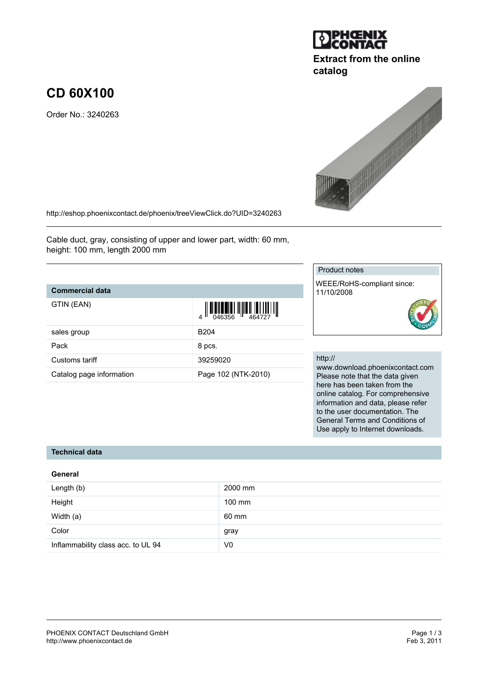#### PHOENIX CONTACT Deutschland GmbH<br>
http://www.phoenixcontact.de<br>
Feb 3, 2011 <http://www.phoenixcontact.de>

# **CD 60X100**

Order No.: 3240263

<http://eshop.phoenixcontact.de/phoenix/treeViewClick.do?UID=3240263>

Cable duct, gray, consisting of upper and lower part, width: 60 mm, height: 100 mm, length 2000 mm

### **Commercial data**

| GTIN (EAN)               | $\left\  \prod_{0.46356} \right\  \left\  \prod_{464727} \right\  \left\  \prod_{1 \leq j \leq 46372}$ |
|--------------------------|--------------------------------------------------------------------------------------------------------|
| sales group              | B <sub>204</sub>                                                                                       |
| Pack                     | 8 pcs.                                                                                                 |
| Customs tariff           | 39259020                                                                                               |
| Catalog page information | Page 102 (NTK-2010)                                                                                    |

# Product notes

WEEE/RoHS-compliant since: 11/10/2008

#### http://

www.download.phoenixcontact.com Please note that the data given here has been taken from the online catalog. For comprehensive information and data, please refer to the user documentation. The General Terms and Conditions of Use apply to Internet downloads.

# **Technical data**

#### **General**

| Length (b)                         | 2000 mm        |
|------------------------------------|----------------|
| Height                             | 100 mm         |
| Width (a)                          | 60 mm          |
| Color                              | gray           |
| Inflammability class acc. to UL 94 | V <sub>0</sub> |



**Extract from the online**

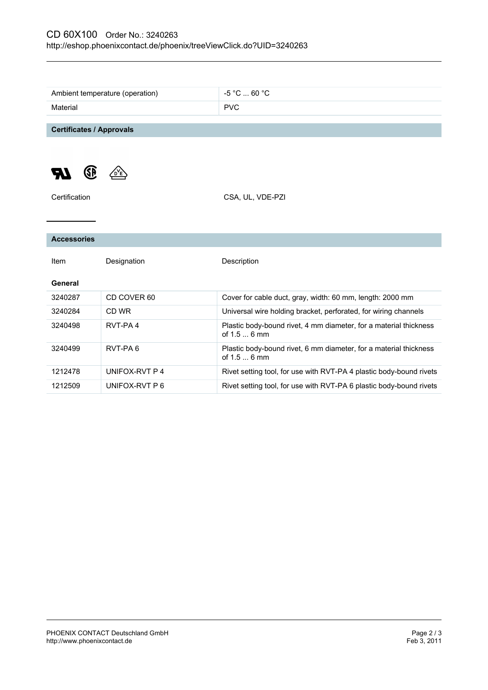|                                 | Ambient temperature (operation) | $-5$ °C $\dots$ 60 °C                                                             |
|---------------------------------|---------------------------------|-----------------------------------------------------------------------------------|
| Material                        |                                 | <b>PVC</b>                                                                        |
|                                 |                                 |                                                                                   |
| <b>Certificates / Approvals</b> |                                 |                                                                                   |
| (SP)                            |                                 |                                                                                   |
| Certification                   |                                 | CSA, UL, VDE-PZI                                                                  |
|                                 |                                 |                                                                                   |
| <b>Accessories</b>              |                                 |                                                                                   |
| Item                            | Designation                     | Description                                                                       |
| General                         |                                 |                                                                                   |
| 3240287                         | CD COVER 60                     | Cover for cable duct, gray, width: 60 mm, length: 2000 mm                         |
| 3240284                         | CD WR                           | Universal wire holding bracket, perforated, for wiring channels                   |
| 3240498                         | RVT-PA4                         | Plastic body-bound rivet, 4 mm diameter, for a material thickness<br>of $1.56$ mm |
| 3240499                         | RVT-PA6                         | Plastic body-bound rivet, 6 mm diameter, for a material thickness<br>of 1.5  6 mm |
| 1212478                         | UNIFOX-RVT P 4                  | Rivet setting tool, for use with RVT-PA 4 plastic body-bound rivets               |
| 1212509                         | UNIFOX-RVT P 6                  | Rivet setting tool, for use with RVT-PA 6 plastic body-bound rivets               |